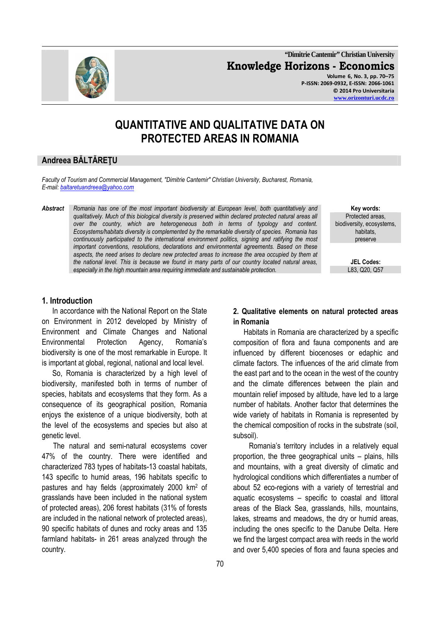**"Dimitrie Cantemir" Christian University Knowledge Horizons - Economics Volume 6, No. 3, pp. 70–75 P-ISSN: 2069-0932, E-ISSN: 2066-1061 © 2014 Pro Universitaria** 

# **QUANTITATIVE AND QUALITATIVE DATA ON PROTECTED AREAS IN ROMANIA**

# **Andreea BĂLTĂREŢU**

*Faculty of Tourism and Commercial Management, "Dimitrie Cantemir" Christian University, Bucharest, Romania, E-mail: baltaretuandreea@yahoo.com*

*Abstract Romania has one of the most important biodiversity at European level, both quantitatively and qualitatively. Much of this biological diversity is preserved within declared protected natural areas all over the country, which are heterogeneous both in terms of typology and content. Ecosystems/habitats diversity is complemented by the remarkable diversity of species. Romania has continuously participated to the international environment politics, signing and ratifying the most important conventions, resolutions, declarations and environmental agreements. Based on these aspects, the need arises to declare new protected areas to increase the area occupied by them at the national level. This is because we found in many parts of our country located natural areas, especially in the high mountain area requiring immediate and sustainable protection.* L83, Q20, Q57

**Key words:**  Protected areas, biodiversity, ecosystems, habitats, preserve

**JEL Codes:**

## **1. Introduction**

In accordance with the National Report on the State on Environment in 2012 developed by Ministry of Environment and Climate Changes and National Environmental Protection Agency, Romania's biodiversity is one of the most remarkable in Europe. It is important at global, regional, national and local level.

So, Romania is characterized by a high level of biodiversity, manifested both in terms of number of species, habitats and ecosystems that they form. As a consequence of its geographical position, Romania enjoys the existence of a unique biodiversity, both at the level of the ecosystems and species but also at genetic level.

 The natural and semi-natural ecosystems cover 47% of the country. There were identified and characterized 783 types of habitats-13 coastal habitats, 143 specific to humid areas, 196 habitats specific to pastures and hay fields (approximately 2000 km<sup>2</sup> of grasslands have been included in the national system of protected areas), 206 forest habitats (31% of forests are included in the national network of protected areas), 90 specific habitats of dunes and rocky areas and 135 farmland habitats- in 261 areas analyzed through the country.

## **2. Qualitative elements on natural protected areas in Romania**

Habitats in Romania are characterized by a specific composition of flora and fauna components and are influenced by different biocenoses or edaphic and climate factors. The influences of the arid climate from the east part and to the ocean in the west of the country and the climate differences between the plain and mountain relief imposed by altitude, have led to a large number of habitats. Another factor that determines the wide variety of habitats in Romania is represented by the chemical composition of rocks in the substrate (soil, subsoil).

 Romania's territory includes in a relatively equal proportion, the three geographical units – plains, hills and mountains, with a great diversity of climatic and hydrological conditions which differentiates a number of about 52 eco-regions with a variety of terrestrial and aquatic ecosystems – specific to coastal and littoral areas of the Black Sea, grasslands, hills, mountains, lakes, streams and meadows, the dry or humid areas, including the ones specific to the Danube Delta. Here we find the largest compact area with reeds in the world and over 5,400 species of flora and fauna species and

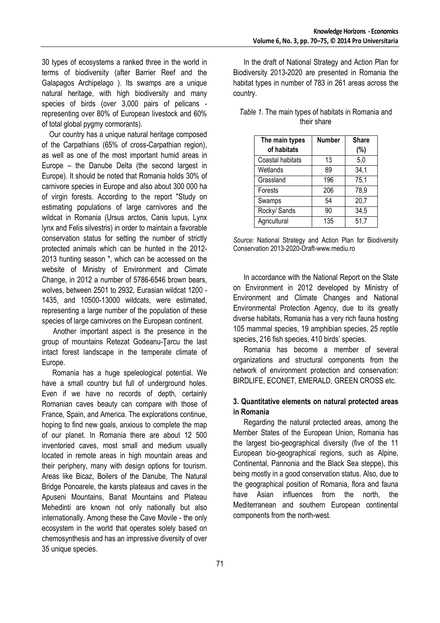30 types of ecosystems a ranked three in the world in terms of biodiversity (after Barrier Reef and the Galapagos Archipelago ). Its swamps are a unique natural heritage, with high biodiversity and many species of birds (over 3,000 pairs of pelicans representing over 80% of European livestock and 60% of total global pygmy cormorants).

 Our country has a unique natural heritage composed of the Carpathians (65% of cross-Carpathian region), as well as one of the most important humid areas in Europe – the Danube Delta (the second largest in Europe). It should be noted that Romania holds 30% of carnivore species in Europe and also about 300 000 ha of virgin forests. According to the report "Study on estimating populations of large carnivores and the wildcat in Romania (Ursus arctos, Canis lupus, Lynx lynx and Felis silvestris) in order to maintain a favorable conservation status for setting the number of strictly protected animals which can be hunted in the 2012- 2013 hunting season ", which can be accessed on the website of Ministry of Environment and Climate Change, in 2012 a number of 5786-6546 brown bears, wolves, between 2501 to 2932, Eurasian wildcat 1200 - 1435, and 10500-13000 wildcats, were estimated, representing a large number of the population of these species of large carnivores on the European continent.

 Another important aspect is the presence in the group of mountains Retezat Godeanu-Ţarcu the last intact forest landscape in the temperate climate of Europe.

Romania has a huge speleological potential. We have a small country but full of underground holes. Even if we have no records of depth, certainly Romanian caves beauty can compare with those of France, Spain, and America. The explorations continue, hoping to find new goals, anxious to complete the map of our planet. In Romania there are about 12 500 inventoried caves, most small and medium usually located in remote areas in high mountain areas and their periphery, many with design options for tourism. Areas like Bicaz, Boilers of the Danube, The Natural Bridge Ponoarele, the karsts plateaus and caves in the Apuseni Mountains, Banat Mountains and Plateau Mehedinti are known not only nationally but also internationally. Among these the Cave Movile - the only ecosystem in the world that operates solely based on chemosynthesis and has an impressive diversity of over 35 unique species.

In the draft of National Strategy and Action Plan for Biodiversity 2013-2020 are presented in Romania the habitat types in number of 783 in 261 areas across the country.

| The main types<br>of habitats | <b>Number</b> | <b>Share</b><br>(%) |
|-------------------------------|---------------|---------------------|
| Coastal habitats              | 13            | 5,0                 |
| Wetlands                      | 89            | 34,1                |
| Grassland                     | 196           | 75,1                |
| Forests                       | 206           | 78,9                |
| Swamps                        | 54            | 20,7                |
| Rocky/ Sands                  | 90            | 34,5                |
| Agricultural                  | 135           | 51,7                |

### *Table 1.* The main types of habitats in Romania and their share

*Source:* National Strategy and Action Plan for Biodiversity Conservation 2013-2020-Draft-www.mediu.ro

In accordance with the National Report on the State on Environment in 2012 developed by Ministry of Environment and Climate Changes and National Environmental Protection Agency, due to its greatly diverse habitats, Romania has a very rich fauna hosting 105 mammal species, 19 amphibian species, 25 reptile species, 216 fish species, 410 birds' species.

Romania has become a member of several organizations and structural components from the network of environment protection and conservation: BIRDLIFE, ECONET, EMERALD, GREEN CROSS etc.

# **3. Quantitative elements on natural protected areas in Romania**

Regarding the natural protected areas, among the Member States of the European Union, Romania has the largest bio-geographical diversity (five of the 11 European bio-geographical regions, such as Alpine, Continental, Pannonia and the Black Sea steppe), this being mostly in a good conservation status. Also, due to the geographical position of Romania, flora and fauna have Asian influences from the north, the Mediterranean and southern European continental components from the north-west.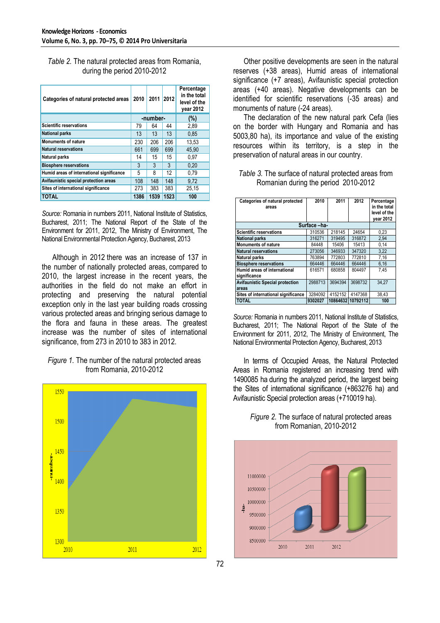*Table 2.* The natural protected areas from Romania, during the period 2010-2012

| Categories of natural protected areas     | 2010     | 2011 | 2012 | Percentage<br>in the total<br>level of the<br>year 2012 |
|-------------------------------------------|----------|------|------|---------------------------------------------------------|
|                                           | -number- |      |      | (%)                                                     |
| <b>Scientific reservations</b>            | 79       | 64   | 44   | 2,89                                                    |
| <b>National parks</b>                     | 13       | 13   | 13   | 0.85                                                    |
| <b>Monuments of nature</b>                | 230      | 206  | 206  | 13.53                                                   |
| <b>Natural reservations</b>               | 661      | 699  | 699  | 45.90                                                   |
| <b>Natural parks</b>                      | 14       | 15   | 15   | 0.97                                                    |
| <b>Biosphere reservations</b>             | 3        | 3    | 3    | 0.20                                                    |
| Humid areas of international significance | 5        | 8    | 12   | 0.79                                                    |
| Avifaunistic special protection areas     | 108      | 148  | 148  | 9.72                                                    |
| Sites of international significance       | 273      | 383  | 383  | 25,15                                                   |
| TOTAL                                     | 1386     | 1539 | 1523 | 100                                                     |

*Source:* Romania in numbers 2011, National Institute of Statistics, Bucharest, 2011; The National Report of the State of the Environment for 2011, 2012, The Ministry of Environment, The National Environmental Protection Agency, Bucharest, 2013

Although in 2012 there was an increase of 137 in the number of nationally protected areas, compared to 2010, the largest increase in the recent years, the authorities in the field do not make an effort in protecting and preserving the natural potential exception only in the last year building roads crossing various protected areas and bringing serious damage to the flora and fauna in these areas. The greatest increase was the number of sites of international significance, from 273 in 2010 to 383 in 2012.

## *Figure 1.* The number of the natural protected areas from Romania, 2010-2012



Other positive developments are seen in the natural reserves (+38 areas), Humid areas of international significance (+7 areas), Avifaunistic special protection areas (+40 areas). Negative developments can be identified for scientific reservations (-35 areas) and monuments of nature (-24 areas).

The declaration of the new natural park Cefa (lies on the border with Hungary and Romania and has 5003,80 ha), its importance and value of the existing resources within its territory, is a step in the preservation of natural areas in our country.

*Table 3.* The surface of natural protected areas from Romanian during the period 2010-2012

| Categories of natural protected<br>areas     | 2010    | 2011    | 2012              | Percentage<br>in the total<br>level of the<br>vear 2012 |
|----------------------------------------------|---------|---------|-------------------|---------------------------------------------------------|
| Surface -ha-                                 |         |         |                   |                                                         |
| <b>Scientific reservations</b>               | 310536  | 218145  | 24654             | 0.23                                                    |
| <b>National parks</b>                        | 316271  | 319495  | 316872            | 2,94                                                    |
| <b>Monuments of nature</b>                   | 84448   | 15406   | 15413             | 0,14                                                    |
| <b>Natural reservations</b>                  | 273056  | 346933  | 347320            | 3,22                                                    |
| <b>Natural parks</b>                         | 763894  | 772803  | 772810            | 7.16                                                    |
| <b>Biosphere reservations</b>                | 664446  | 664446  | 664446            | 6,16                                                    |
| Humid areas of international<br>significance | 616571  | 680858  | 804497            | 7.45                                                    |
| <b>Avifaunistic Special protection</b>       | 2988713 | 3694394 | 3698732           | 34.27                                                   |
| areas                                        |         |         |                   |                                                         |
| Sites of international significance          | 3284092 | 4152152 | 4147368           | 38,43                                                   |
| <b>TOTAL</b>                                 | 9302027 |         | 10864632 10792112 | 100                                                     |

*Source:* Romania in numbers 2011, National Institute of Statistics, Bucharest, 2011; The National Report of the State of the Environment for 2011, 2012, The Ministry of Environment, The National Environmental Protection Agency, Bucharest, 2013

In terms of Occupied Areas, the Natural Protected Areas in Romania registered an increasing trend with 1490085 ha during the analyzed period, the largest being the Sites of international significance (+863276 ha) and Avifaunistic Special protection areas (+710019 ha).



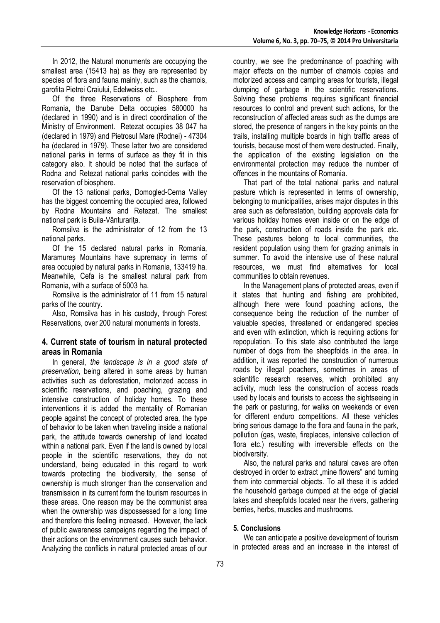In 2012, the Natural monuments are occupying the smallest area (15413 ha) as they are represented by species of flora and fauna mainly, such as the chamois, garofita Pietrei Craiului, Edelweiss etc..

Of the three Reservations of Biosphere from Romania, the Danube Delta occupies 580000 ha (declared in 1990) and is in direct coordination of the Ministry of Environment. Retezat occupies 38 047 ha (declared in 1979) and Pietrosul Mare (Rodnei) - 47304 ha (declared in 1979). These latter two are considered national parks in terms of surface as they fit in this category also. It should be noted that the surface of Rodna and Retezat national parks coincides with the reservation of biosphere.

Of the 13 national parks, Domogled-Cerna Valley has the biggest concerning the occupied area, followed by Rodna Mountains and Retezat. The smallest national park is Buila-Vânturarita.

Romsilva is the administrator of 12 from the 13 national parks.

Of the 15 declared natural parks in Romania, Maramureş Mountains have supremacy in terms of area occupied by natural parks in Romania, 133419 ha. Meanwhile, Cefa is the smallest natural park from Romania, with a surface of 5003 ha.

Romsilva is the administrator of 11 from 15 natural parks of the country.

Also, Romsilva has in his custody, through Forest Reservations, over 200 natural monuments in forests.

### **4. Current state of tourism in natural protected areas in Romania**

In general, *the landscape is in a good state of preservation*, being altered in some areas by human activities such as deforestation, motorized access in scientific reservations, and poaching, grazing and intensive construction of holiday homes. To these interventions it is added the mentality of Romanian people against the concept of protected area, the type of behavior to be taken when traveling inside a national park, the attitude towards ownership of land located within a national park. Even if the land is owned by local people in the scientific reservations, they do not understand, being educated in this regard to work towards protecting the biodiversity, the sense of ownership is much stronger than the conservation and transmission in its current form the tourism resources in these areas. One reason may be the communist area when the ownership was dispossessed for a long time and therefore this feeling increased. However, the lack of public awareness campaigns regarding the impact of their actions on the environment causes such behavior. Analyzing the conflicts in natural protected areas of our

country, we see the predominance of poaching with major effects on the number of chamois copies and motorized access and camping areas for tourists, illegal dumping of garbage in the scientific reservations. Solving these problems requires significant financial resources to control and prevent such actions, for the reconstruction of affected areas such as the dumps are stored, the presence of rangers in the key points on the trails, installing multiple boards in high traffic areas of tourists, because most of them were destructed. Finally, the application of the existing legislation on the environmental protection may reduce the number of offences in the mountains of Romania.

That part of the total national parks and natural pasture which is represented in terms of ownership, belonging to municipalities, arises major disputes in this area such as deforestation, building approvals data for various holiday homes even inside or on the edge of the park, construction of roads inside the park etc. These pastures belong to local communities, the resident population using them for grazing animals in summer. To avoid the intensive use of these natural resources, we must find alternatives for local communities to obtain revenues.

In the Management plans of protected areas, even if it states that hunting and fishing are prohibited, although there were found poaching actions, the consequence being the reduction of the number of valuable species, threatened or endangered species and even with extinction, which is requiring actions for repopulation. To this state also contributed the large number of dogs from the sheepfolds in the area. In addition, it was reported the construction of numerous roads by illegal poachers, sometimes in areas of scientific research reserves, which prohibited any activity, much less the construction of access roads used by locals and tourists to access the sightseeing in the park or pasturing, for walks on weekends or even for different enduro competitions. All these vehicles bring serious damage to the flora and fauna in the park, pollution (gas, waste, fireplaces, intensive collection of flora etc.) resulting with irreversible effects on the biodiversity.

Also, the natural parks and natural caves are often destroyed in order to extract "mine flowers" and turning them into commercial objects. To all these it is added the household garbage dumped at the edge of glacial lakes and sheepfolds located near the rivers, gathering berries, herbs, muscles and mushrooms.

### **5. Conclusions**

We can anticipate a positive development of tourism in protected areas and an increase in the interest of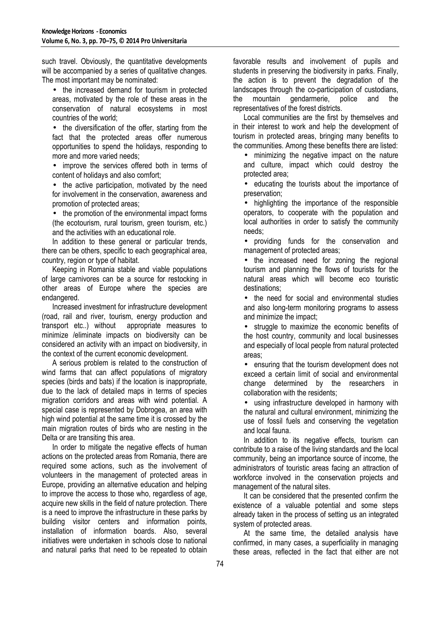such travel. Obviously, the quantitative developments will be accompanied by a series of qualitative changes. The most important may be nominated:

• the increased demand for tourism in protected areas, motivated by the role of these areas in the conservation of natural ecosystems in most countries of the world;

• the diversification of the offer, starting from the fact that the protected areas offer numerous opportunities to spend the holidays, responding to more and more varied needs;

improve the services offered both in terms of content of holidays and also comfort;

• the active participation, motivated by the need for involvement in the conservation, awareness and promotion of protected areas;

• the promotion of the environmental impact forms (the ecotourism, rural tourism, green tourism, etc.) and the activities with an educational role.

In addition to these general or particular trends, there can be others, specific to each geographical area, country, region or type of habitat.

Keeping in Romania stable and viable populations of large carnivores can be a source for restocking in other areas of Europe where the species are endangered.

Increased investment for infrastructure development (road, rail and river, tourism, energy production and transport etc..) without appropriate measures to minimize /eliminate impacts on biodiversity can be considered an activity with an impact on biodiversity, in the context of the current economic development.

A serious problem is related to the construction of wind farms that can affect populations of migratory species (birds and bats) if the location is inappropriate, due to the lack of detailed maps in terms of species migration corridors and areas with wind potential. A special case is represented by Dobrogea, an area with high wind potential at the same time it is crossed by the main migration routes of birds who are nesting in the Delta or are transiting this area.

In order to mitigate the negative effects of human actions on the protected areas from Romania, there are required some actions, such as the involvement of volunteers in the management of protected areas in Europe, providing an alternative education and helping to improve the access to those who, regardless of age, acquire new skills in the field of nature protection. There is a need to improve the infrastructure in these parks by building visitor centers and information points, installation of information boards. Also, several initiatives were undertaken in schools close to national and natural parks that need to be repeated to obtain

favorable results and involvement of pupils and students in preserving the biodiversity in parks. Finally, the action is to prevent the degradation of the landscapes through the co-participation of custodians, the mountain gendarmerie, police and the representatives of the forest districts.

Local communities are the first by themselves and in their interest to work and help the development of tourism in protected areas, bringing many benefits to the communities. Among these benefits there are listed:

• minimizing the negative impact on the nature and culture, impact which could destroy the protected area;

• educating the tourists about the importance of preservation;

• highlighting the importance of the responsible operators, to cooperate with the population and local authorities in order to satisfy the community needs;

• providing funds for the conservation and management of protected areas;

• the increased need for zoning the regional tourism and planning the flows of tourists for the natural areas which will become eco touristic destinations;

• the need for social and environmental studies and also long-term monitoring programs to assess and minimize the impact;

• struggle to maximize the economic benefits of the host country, community and local businesses and especially of local people from natural protected areas;

• ensuring that the tourism development does not exceed a certain limit of social and environmental change determined by the researchers in collaboration with the residents;

• using infrastructure developed in harmony with the natural and cultural environment, minimizing the use of fossil fuels and conserving the vegetation and local fauna.

In addition to its negative effects, tourism can contribute to a raise of the living standards and the local community, being an importance source of income, the administrators of touristic areas facing an attraction of workforce involved in the conservation projects and management of the natural sites.

It can be considered that the presented confirm the existence of a valuable potential and some steps already taken in the process of setting us an integrated system of protected areas.

At the same time, the detailed analysis have confirmed, in many cases, a superficiality in managing these areas, reflected in the fact that either are not